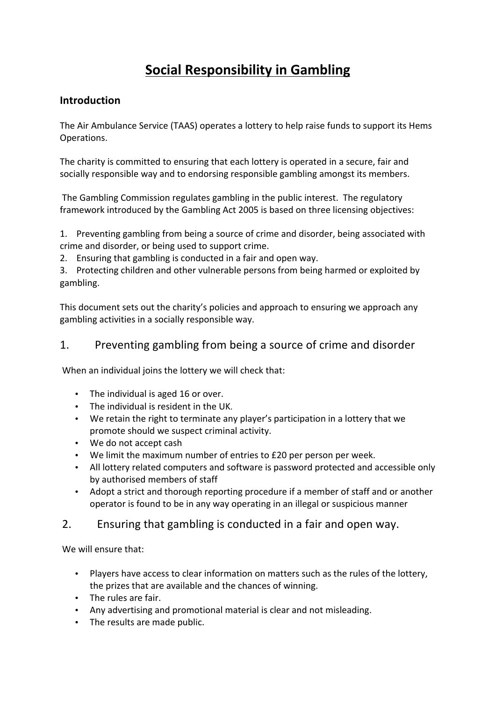# **Social Responsibility in Gambling**

## **Introduction**

The Air Ambulance Service (TAAS) operates a lottery to help raise funds to support its Hems Operations. 

The charity is committed to ensuring that each lottery is operated in a secure, fair and socially responsible way and to endorsing responsible gambling amongst its members.

The Gambling Commission regulates gambling in the public interest. The regulatory framework introduced by the Gambling Act 2005 is based on three licensing objectives:

1. Preventing gambling from being a source of crime and disorder, being associated with crime and disorder, or being used to support crime.

2. Ensuring that gambling is conducted in a fair and open way.

3. Protecting children and other vulnerable persons from being harmed or exploited by gambling.

This document sets out the charity's policies and approach to ensuring we approach any gambling activities in a socially responsible way.

# 1. Preventing gambling from being a source of crime and disorder

When an individual joins the lottery we will check that:

- The individual is aged 16 or over.
- The individual is resident in the UK.
- We retain the right to terminate any player's participation in a lottery that we promote should we suspect criminal activity.
- We do not accept cash
- We limit the maximum number of entries to £20 per person per week.
- All lottery related computers and software is password protected and accessible only by authorised members of staff
- Adopt a strict and thorough reporting procedure if a member of staff and or another operator is found to be in any way operating in an illegal or suspicious manner

### 2. Ensuring that gambling is conducted in a fair and open way.

We will ensure that:

- Players have access to clear information on matters such as the rules of the lottery. the prizes that are available and the chances of winning.
- The rules are fair.
- Any advertising and promotional material is clear and not misleading.
- The results are made public.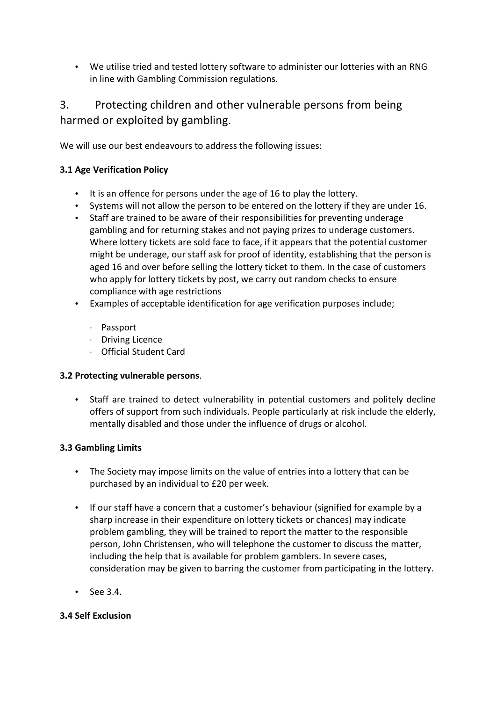• We utilise tried and tested lottery software to administer our lotteries with an RNG in line with Gambling Commission regulations.

# 3. Protecting children and other vulnerable persons from being harmed or exploited by gambling.

We will use our best endeavours to address the following issues:

#### **3.1 Age Verification Policy**

- It is an offence for persons under the age of 16 to play the lottery.
- Systems will not allow the person to be entered on the lottery if they are under 16.
- Staff are trained to be aware of their responsibilities for preventing underage gambling and for returning stakes and not paying prizes to underage customers. Where lottery tickets are sold face to face, if it appears that the potential customer might be underage, our staff ask for proof of identity, establishing that the person is aged 16 and over before selling the lottery ticket to them. In the case of customers who apply for lottery tickets by post, we carry out random checks to ensure compliance with age restrictions
- Examples of acceptable identification for age verification purposes include;
	- · Passport
	- · Driving Licence
	- · Official Student Card

#### **3.2 Protecting vulnerable persons.**

• Staff are trained to detect vulnerability in potential customers and politely decline offers of support from such individuals. People particularly at risk include the elderly, mentally disabled and those under the influence of drugs or alcohol.

#### **3.3 Gambling Limits**

- The Society may impose limits on the value of entries into a lottery that can be purchased by an individual to £20 per week.
- If our staff have a concern that a customer's behaviour (signified for example by a sharp increase in their expenditure on lottery tickets or chances) may indicate problem gambling, they will be trained to report the matter to the responsible person, John Christensen, who will telephone the customer to discuss the matter, including the help that is available for problem gamblers. In severe cases, consideration may be given to barring the customer from participating in the lottery.
- See 3.4.

#### **3.4 Self Exclusion**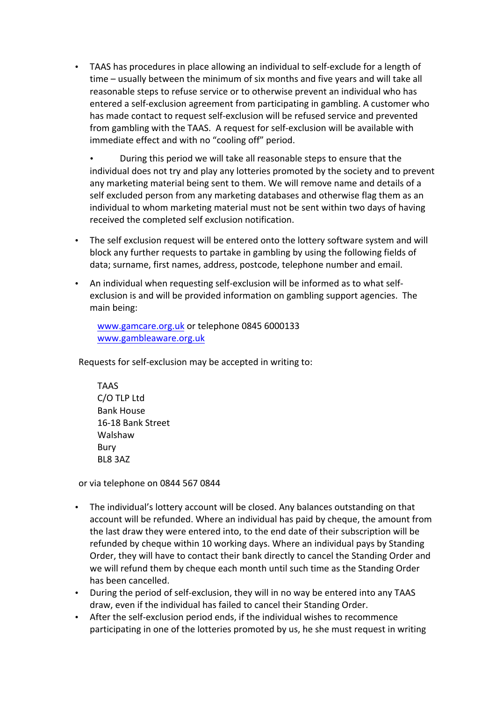• TAAS has procedures in place allowing an individual to self-exclude for a length of time – usually between the minimum of six months and five years and will take all reasonable steps to refuse service or to otherwise prevent an individual who has entered a self-exclusion agreement from participating in gambling. A customer who has made contact to request self-exclusion will be refused service and prevented from gambling with the TAAS. A request for self-exclusion will be available with immediate effect and with no "cooling off" period.

During this period we will take all reasonable steps to ensure that the individual does not try and play any lotteries promoted by the society and to prevent any marketing material being sent to them. We will remove name and details of a self excluded person from any marketing databases and otherwise flag them as an individual to whom marketing material must not be sent within two days of having received the completed self exclusion notification.

- The self exclusion request will be entered onto the lottery software system and will block any further requests to partake in gambling by using the following fields of data; surname, first names, address, postcode, telephone number and email.
- An individual when requesting self-exclusion will be informed as to what selfexclusion is and will be provided information on gambling support agencies. The main being:

www.gamcare.org.uk or telephone 0845 6000133 www.gambleaware.org.uk

Requests for self-exclusion may be accepted in writing to:

TAAS C/O TLP Ltd Bank House 16-18 Bank Street Walshaw Bury BL8 3AZ

or via telephone on 0844 567 0844

- The individual's lottery account will be closed. Any balances outstanding on that account will be refunded. Where an individual has paid by cheque, the amount from the last draw they were entered into, to the end date of their subscription will be refunded by cheque within 10 working days. Where an individual pays by Standing Order, they will have to contact their bank directly to cancel the Standing Order and we will refund them by cheque each month until such time as the Standing Order has been cancelled.
- During the period of self-exclusion, they will in no way be entered into any TAAS draw, even if the individual has failed to cancel their Standing Order.
- After the self-exclusion period ends, if the individual wishes to recommence participating in one of the lotteries promoted by us, he she must request in writing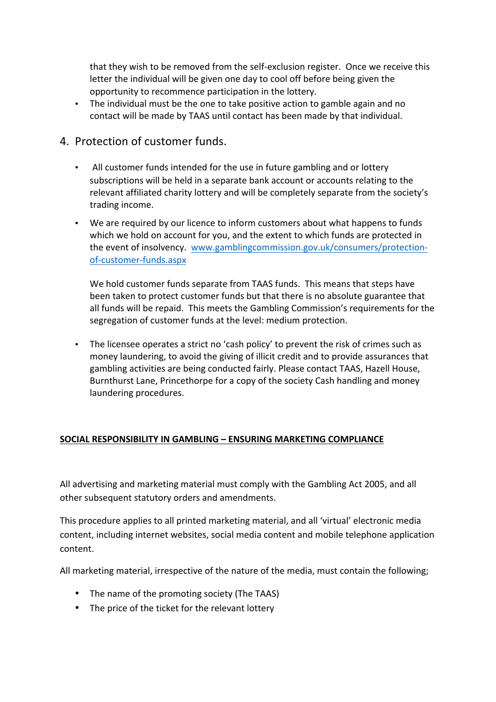that they wish to be removed from the self-exclusion register. Once we receive this letter the individual will be given one day to cool off before being given the opportunity to recommence participation in the lottery.

• The individual must be the one to take positive action to gamble again and no contact will be made by TAAS until contact has been made by that individual.

# 4. Protection of customer funds.

- All customer funds intended for the use in future gambling and or lottery subscriptions will be held in a separate bank account or accounts relating to the relevant affiliated charity lottery and will be completely separate from the society's trading income.
- We are required by our licence to inform customers about what happens to funds which we hold on account for you, and the extent to which funds are protected in the event of insolvency. www.gamblingcommission.gov.uk/consumers/protectionof-customer-funds.aspx

We hold customer funds separate from TAAS funds. This means that steps have been taken to protect customer funds but that there is no absolute guarantee that all funds will be repaid. This meets the Gambling Commission's requirements for the segregation of customer funds at the level: medium protection.

• The licensee operates a strict no 'cash policy' to prevent the risk of crimes such as money laundering, to avoid the giving of illicit credit and to provide assurances that gambling activities are being conducted fairly. Please contact TAAS, Hazell House, Burnthurst Lane, Princethorpe for a copy of the society Cash handling and money laundering procedures.

#### **SOCIAL RESPONSIBILITY IN GAMBLING – ENSURING MARKETING COMPLIANCE**

All advertising and marketing material must comply with the Gambling Act 2005, and all other subsequent statutory orders and amendments.

This procedure applies to all printed marketing material, and all 'virtual' electronic media content, including internet websites, social media content and mobile telephone application content.

All marketing material, irrespective of the nature of the media, must contain the following;

- The name of the promoting society (The TAAS)
- The price of the ticket for the relevant lottery